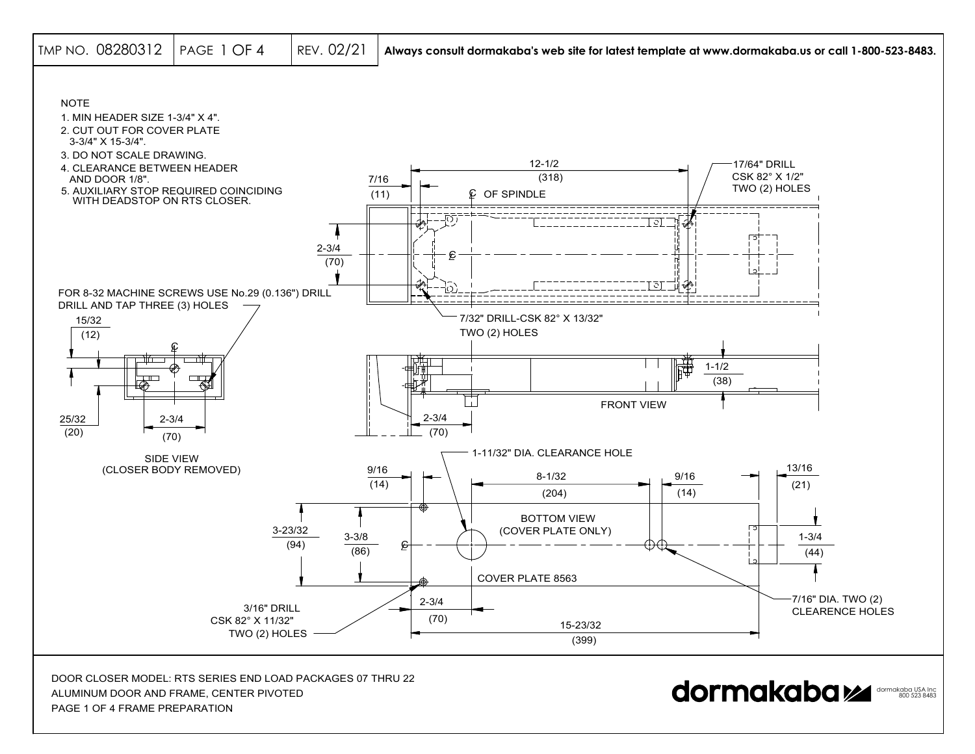

PAGE 1 OF 4 FRAME PREPARATION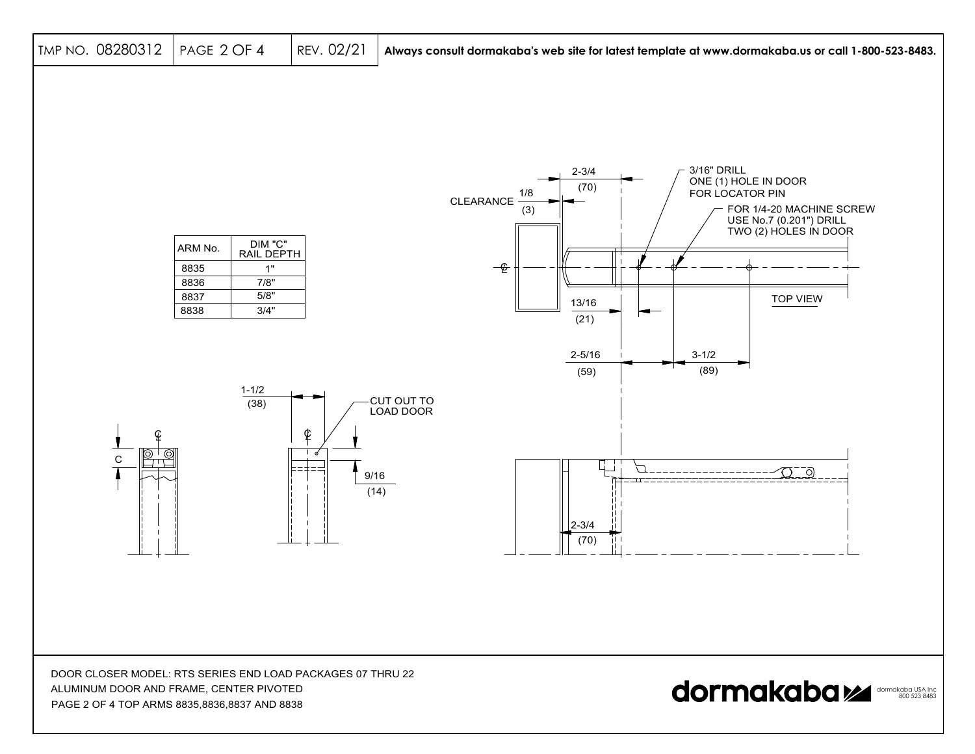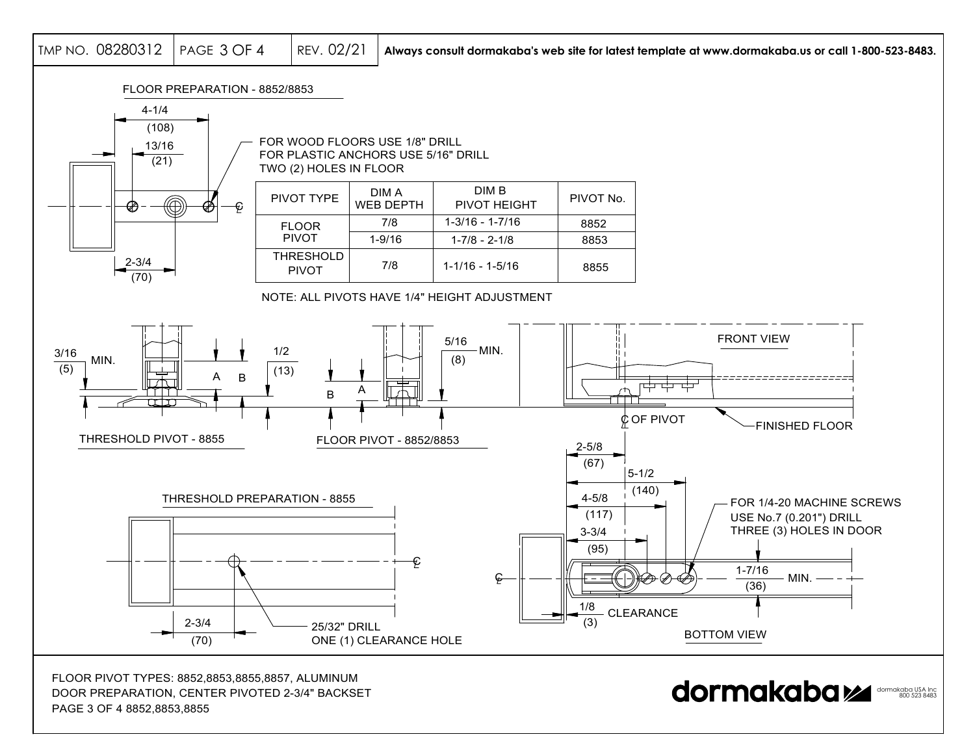